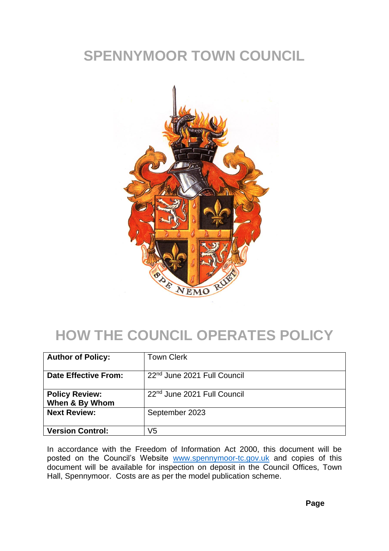## **SPENNYMOOR TOWN COUNCIL**



# **HOW THE COUNCIL OPERATES POLICY**

| <b>Author of Policy:</b>                | <b>Town Clerk</b>                       |
|-----------------------------------------|-----------------------------------------|
| Date Effective From:                    | 22 <sup>nd</sup> June 2021 Full Council |
| <b>Policy Review:</b><br>When & By Whom | 22 <sup>nd</sup> June 2021 Full Council |
| <b>Next Review:</b>                     | September 2023                          |
| <b>Version Control:</b>                 | V5                                      |

In accordance with the Freedom of Information Act 2000, this document will be posted on the Council's Website [www.spennymoor-tc.gov.uk](http://www.spennymoor-tc.gov.uk/) and copies of this document will be available for inspection on deposit in the Council Offices, Town Hall, Spennymoor. Costs are as per the model publication scheme.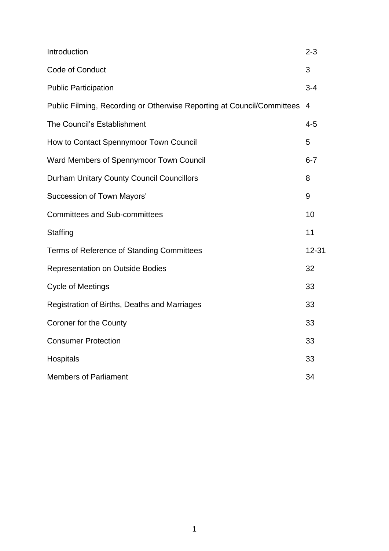| Introduction                                                           | $2 - 3$        |
|------------------------------------------------------------------------|----------------|
| Code of Conduct                                                        | 3              |
| <b>Public Participation</b>                                            | $3 - 4$        |
| Public Filming, Recording or Otherwise Reporting at Council/Committees | $\overline{4}$ |
| The Council's Establishment                                            | $4 - 5$        |
| How to Contact Spennymoor Town Council                                 | 5              |
| Ward Members of Spennymoor Town Council                                | $6 - 7$        |
| <b>Durham Unitary County Council Councillors</b>                       | 8              |
| <b>Succession of Town Mayors'</b>                                      | 9              |
| <b>Committees and Sub-committees</b>                                   | 10             |
| Staffing                                                               | 11             |
| Terms of Reference of Standing Committees                              | 12-31          |
| <b>Representation on Outside Bodies</b>                                | 32             |
| <b>Cycle of Meetings</b>                                               | 33             |
| Registration of Births, Deaths and Marriages                           | 33             |
| <b>Coroner for the County</b>                                          | 33             |
| <b>Consumer Protection</b>                                             | 33             |
| Hospitals                                                              | 33             |
| <b>Members of Parliament</b>                                           | 34             |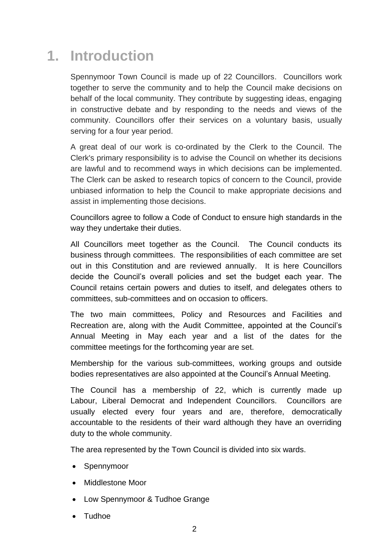## **1. Introduction**

Spennymoor Town Council is made up of 22 Councillors. Councillors work together to serve the community and to help the Council make decisions on behalf of the local community. They contribute by suggesting ideas, engaging in constructive debate and by responding to the needs and views of the community. Councillors offer their services on a voluntary basis, usually serving for a four year period.

A great deal of our work is co-ordinated by the Clerk to the Council. The Clerk's primary responsibility is to advise the Council on whether its decisions are lawful and to recommend ways in which decisions can be implemented. The Clerk can be asked to research topics of concern to the Council, provide unbiased information to help the Council to make appropriate decisions and assist in implementing those decisions.

Councillors agree to follow a Code of Conduct to ensure high standards in the way they undertake their duties.

All Councillors meet together as the Council. The Council conducts its business through committees. The responsibilities of each committee are set out in this Constitution and are reviewed annually. It is here Councillors decide the Council's overall policies and set the budget each year. The Council retains certain powers and duties to itself, and delegates others to committees, sub-committees and on occasion to officers.

The two main committees, Policy and Resources and Facilities and Recreation are, along with the Audit Committee, appointed at the Council's Annual Meeting in May each year and a list of the dates for the committee meetings for the forthcoming year are set.

Membership for the various sub-committees, working groups and outside bodies representatives are also appointed at the Council's Annual Meeting.

The Council has a membership of 22, which is currently made up Labour, Liberal Democrat and Independent Councillors. Councillors are usually elected every four years and are, therefore, democratically accountable to the residents of their ward although they have an overriding duty to the whole community.

The area represented by the Town Council is divided into six wards.

- Spennymoor
- Middlestone Moor
- Low Spennymoor & Tudhoe Grange
- Tudhoe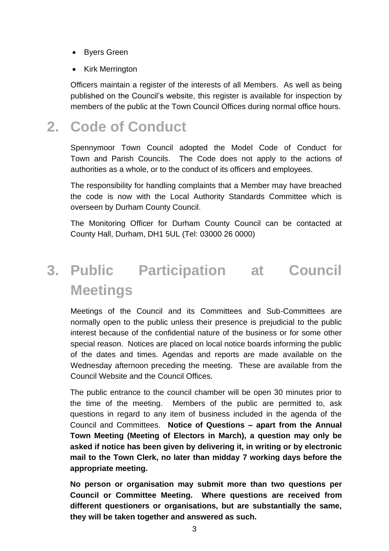- Byers Green
- Kirk Merrington

Officers maintain a register of the interests of all Members. As well as being published on the Council's website, this register is available for inspection by members of the public at the Town Council Offices during normal office hours.

### **2. Code of Conduct**

Spennymoor Town Council adopted the Model Code of Conduct for Town and Parish Councils. The Code does not apply to the actions of authorities as a whole, or to the conduct of its officers and employees.

The responsibility for handling complaints that a Member may have breached the code is now with the Local Authority Standards Committee which is overseen by Durham County Council.

The Monitoring Officer for Durham County Council can be contacted at County Hall, Durham, DH1 5UL (Tel: 03000 26 0000)

# **3. Public Participation at Council Meetings**

Meetings of the Council and its Committees and Sub-Committees are normally open to the public unless their presence is prejudicial to the public interest because of the confidential nature of the business or for some other special reason. Notices are placed on local notice boards informing the public of the dates and times. Agendas and reports are made available on the Wednesday afternoon preceding the meeting. These are available from the Council Website and the Council Offices.

The public entrance to the council chamber will be open 30 minutes prior to the time of the meeting. Members of the public are permitted to, ask questions in regard to any item of business included in the agenda of the Council and Committees. **Notice of Questions – apart from the Annual Town Meeting (Meeting of Electors in March), a question may only be asked if notice has been given by delivering it, in writing or by electronic mail to the Town Clerk, no later than midday 7 working days before the appropriate meeting.** 

**No person or organisation may submit more than two questions per Council or Committee Meeting. Where questions are received from different questioners or organisations, but are substantially the same, they will be taken together and answered as such.**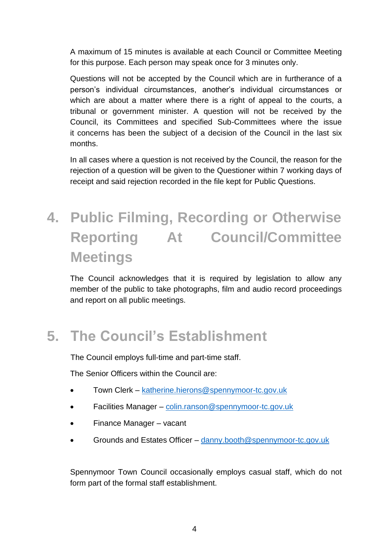A maximum of 15 minutes is available at each Council or Committee Meeting for this purpose. Each person may speak once for 3 minutes only.

Questions will not be accepted by the Council which are in furtherance of a person's individual circumstances, another's individual circumstances or which are about a matter where there is a right of appeal to the courts, a tribunal or government minister. A question will not be received by the Council, its Committees and specified Sub-Committees where the issue it concerns has been the subject of a decision of the Council in the last six months.

In all cases where a question is not received by the Council, the reason for the rejection of a question will be given to the Questioner within 7 working days of receipt and said rejection recorded in the file kept for Public Questions.

# **4. Public Filming, Recording or Otherwise Reporting At Council/Committee Meetings**

The Council acknowledges that it is required by legislation to allow any member of the public to take photographs, film and audio record proceedings and report on all public meetings.

## **5. The Council's Establishment**

The Council employs full-time and part-time staff.

The Senior Officers within the Council are:

- Town Clerk [katherine.hierons@spennymoor-tc.gov.uk](mailto:katherine.hierons@spennymoor-tc.gov.uk)
- Facilities Manager [colin.ranson@spennymoor-tc.gov.uk](mailto:colin.ranson@spennymoor-tc.gov.uk)
- Finance Manager vacant
- Grounds and Estates Officer [danny.booth@spennymoor-tc.gov.uk](mailto:danny.booth@spennymoor-tc.gov.uk)

Spennymoor Town Council occasionally employs casual staff, which do not form part of the formal staff establishment.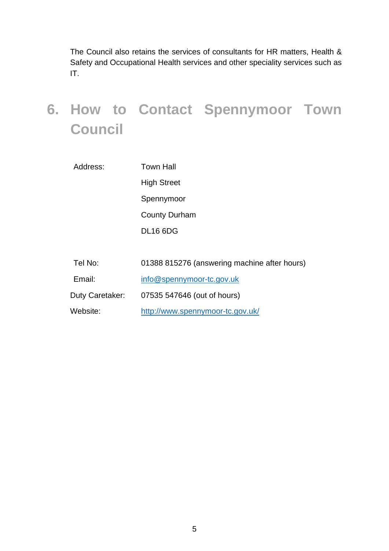The Council also retains the services of consultants for HR matters, Health & Safety and Occupational Health services and other speciality services such as IT.

# **6. How to Contact Spennymoor Town Council**

| Address: | Town Hall            |
|----------|----------------------|
|          | <b>High Street</b>   |
|          | Spennymoor           |
|          | <b>County Durham</b> |
|          | <b>DL16 6DG</b>      |
|          |                      |

| Tel No:         | 01388 815276 (answering machine after hours) |
|-----------------|----------------------------------------------|
| Email:          | info@spennymoor-tc.gov.uk                    |
| Duty Caretaker: | 07535 547646 (out of hours)                  |
| Website:        | http://www.spennymoor-tc.gov.uk/             |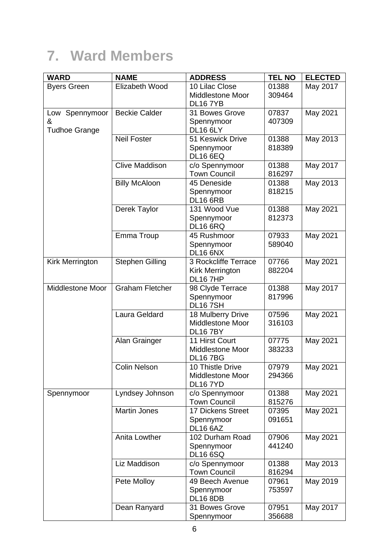## **7. Ward Members**

| Elizabeth Wood<br>10 Lilac Close<br>01388<br>May 2017<br><b>Byers Green</b><br><b>Middlestone Moor</b><br>309464<br><b>DL167YB</b><br><b>Beckie Calder</b><br>May 2021<br>31 Bowes Grove<br>07837<br>Low Spennymoor<br>407309<br>&<br>Spennymoor<br><b>DL16 6LY</b><br><b>Tudhoe Grange</b><br><b>Neil Foster</b><br>May 2013<br>51 Keswick Drive<br>01388<br>818389<br>Spennymoor<br><b>DL16 6EQ</b> | <b>WARD</b> | <b>ELECTED</b> |
|-------------------------------------------------------------------------------------------------------------------------------------------------------------------------------------------------------------------------------------------------------------------------------------------------------------------------------------------------------------------------------------------------------|-------------|----------------|
|                                                                                                                                                                                                                                                                                                                                                                                                       |             |                |
|                                                                                                                                                                                                                                                                                                                                                                                                       |             |                |
|                                                                                                                                                                                                                                                                                                                                                                                                       |             |                |
|                                                                                                                                                                                                                                                                                                                                                                                                       |             |                |
|                                                                                                                                                                                                                                                                                                                                                                                                       |             |                |
|                                                                                                                                                                                                                                                                                                                                                                                                       |             |                |
|                                                                                                                                                                                                                                                                                                                                                                                                       |             |                |
|                                                                                                                                                                                                                                                                                                                                                                                                       |             |                |
|                                                                                                                                                                                                                                                                                                                                                                                                       |             |                |
| <b>Clive Maddison</b><br>c/o Spennymoor<br>01388<br>May 2017                                                                                                                                                                                                                                                                                                                                          |             |                |
| <b>Town Council</b><br>816297                                                                                                                                                                                                                                                                                                                                                                         |             |                |
| <b>Billy McAloon</b><br>45 Deneside<br>May 2013<br>01388                                                                                                                                                                                                                                                                                                                                              |             |                |
| 818215<br>Spennymoor                                                                                                                                                                                                                                                                                                                                                                                  |             |                |
| <b>DL16 6RB</b>                                                                                                                                                                                                                                                                                                                                                                                       |             |                |
| Derek Taylor<br>131 Wood Vue<br>01388<br>May 2021                                                                                                                                                                                                                                                                                                                                                     |             |                |
| 812373<br>Spennymoor                                                                                                                                                                                                                                                                                                                                                                                  |             |                |
| <b>DL16 6RQ</b>                                                                                                                                                                                                                                                                                                                                                                                       |             |                |
| Emma Troup<br>May 2021<br>45 Rushmoor<br>07933                                                                                                                                                                                                                                                                                                                                                        |             |                |
| Spennymoor<br>589040                                                                                                                                                                                                                                                                                                                                                                                  |             |                |
| <b>DL16 6NX</b><br><b>Stephen Gilling</b><br>3 Rockcliffe Terrace<br>07766<br>May 2021                                                                                                                                                                                                                                                                                                                |             |                |
| Kirk Merrington<br><b>Kirk Merrington</b><br>882204                                                                                                                                                                                                                                                                                                                                                   |             |                |
| <b>DL16 7HP</b>                                                                                                                                                                                                                                                                                                                                                                                       |             |                |
| <b>Graham Fletcher</b><br>Middlestone Moor<br>01388<br>May 2017<br>98 Clyde Terrace                                                                                                                                                                                                                                                                                                                   |             |                |
| 817996<br>Spennymoor                                                                                                                                                                                                                                                                                                                                                                                  |             |                |
| <b>DL167SH</b>                                                                                                                                                                                                                                                                                                                                                                                        |             |                |
| Laura Geldard<br>18 Mulberry Drive<br>07596<br>May 2021                                                                                                                                                                                                                                                                                                                                               |             |                |
| <b>Middlestone Moor</b><br>316103                                                                                                                                                                                                                                                                                                                                                                     |             |                |
| <b>DL167BY</b>                                                                                                                                                                                                                                                                                                                                                                                        |             |                |
| 11 Hirst Court<br>Alan Grainger<br>07775<br>May 2021                                                                                                                                                                                                                                                                                                                                                  |             |                |
| <b>Middlestone Moor</b><br>383233                                                                                                                                                                                                                                                                                                                                                                     |             |                |
| <b>DL167BG</b>                                                                                                                                                                                                                                                                                                                                                                                        |             |                |
| 10 Thistle Drive<br><b>Colin Nelson</b><br>07979<br>May 2021                                                                                                                                                                                                                                                                                                                                          |             |                |
| <b>Middlestone Moor</b><br>294366                                                                                                                                                                                                                                                                                                                                                                     |             |                |
| <b>DL16 7YD</b>                                                                                                                                                                                                                                                                                                                                                                                       |             |                |
| Lyndsey Johnson<br>c/o Spennymoor<br>01388<br>May 2021<br>Spennymoor                                                                                                                                                                                                                                                                                                                                  |             |                |
| <b>Town Council</b><br>815276                                                                                                                                                                                                                                                                                                                                                                         |             |                |
| <b>Martin Jones</b><br><b>17 Dickens Street</b><br>May 2021<br>07395                                                                                                                                                                                                                                                                                                                                  |             |                |
| 091651<br>Spennymoor                                                                                                                                                                                                                                                                                                                                                                                  |             |                |
| <b>DL16 6AZ</b>                                                                                                                                                                                                                                                                                                                                                                                       |             |                |
| Anita Lowther<br>May 2021<br>102 Durham Road<br>07906                                                                                                                                                                                                                                                                                                                                                 |             |                |
| 441240<br>Spennymoor                                                                                                                                                                                                                                                                                                                                                                                  |             |                |
| <b>DL16 6SQ</b>                                                                                                                                                                                                                                                                                                                                                                                       |             |                |
| Liz Maddison<br>01388<br>May 2013<br>c/o Spennymoor                                                                                                                                                                                                                                                                                                                                                   |             |                |
| <b>Town Council</b><br>816294                                                                                                                                                                                                                                                                                                                                                                         |             |                |
| May 2019<br>Pete Molloy<br>49 Beech Avenue<br>07961<br>753597                                                                                                                                                                                                                                                                                                                                         |             |                |
| Spennymoor<br><b>DL16 8DB</b>                                                                                                                                                                                                                                                                                                                                                                         |             |                |
| May 2017<br>Dean Ranyard<br>31 Bowes Grove<br>07951                                                                                                                                                                                                                                                                                                                                                   |             |                |
| 356688<br>Spennymoor                                                                                                                                                                                                                                                                                                                                                                                  |             |                |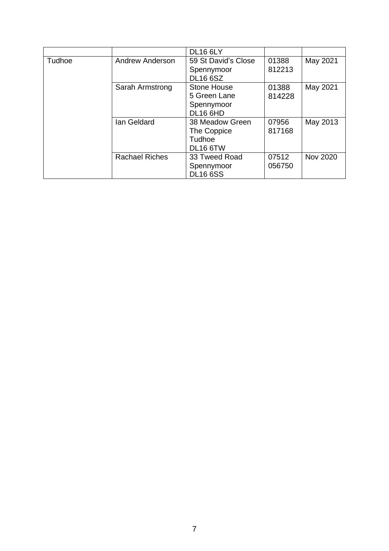|        |                       | <b>DL16 6LY</b>                                              |                 |                 |
|--------|-----------------------|--------------------------------------------------------------|-----------------|-----------------|
| Tudhoe | Andrew Anderson       | 59 St David's Close<br>Spennymoor<br><b>DL16 6SZ</b>         | 01388<br>812213 | May 2021        |
|        | Sarah Armstrong       | Stone House<br>5 Green Lane<br>Spennymoor<br><b>DL16 6HD</b> | 01388<br>814228 | May 2021        |
|        | Ian Geldard           | 38 Meadow Green<br>The Coppice<br>Tudhoe<br><b>DL16 6TW</b>  | 07956<br>817168 | May 2013        |
|        | <b>Rachael Riches</b> | 33 Tweed Road<br>Spennymoor<br><b>DL16 6SS</b>               | 07512<br>056750 | <b>Nov 2020</b> |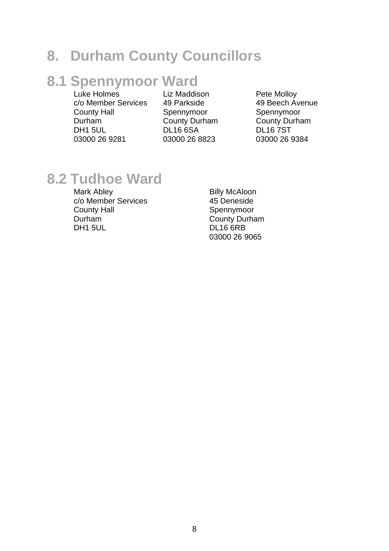#### **8. Durham County Councillors**

### **8.1 Spennymoor Ward**

Luke Holmes c/o Member Services County Hall Durham DH1 5UL 03000 26 9281

Liz Maddison 49 Parkside Spennymoor County Durham DL16 6SA 03000 26 8823

Pete Molloy 49 Beech Avenue Spennymoor County Durham DL16 7ST 03000 26 9384

#### **8.2 Tudhoe Ward**

Mark Abley c/o Member Services County Hall Durham DH1 5UL

Billy McAloon 45 Deneside Spennymoor County Durham DL16 6RB 03000 26 9065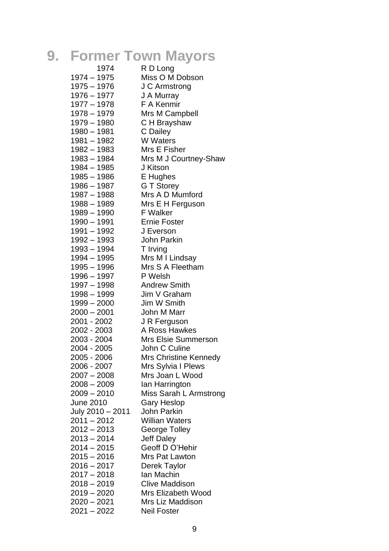# **9. Former Town Mayors**

| 1974             | R D Long                      |
|------------------|-------------------------------|
| 1974 – 1975      | Miss O M Dobson               |
| 1975 - 1976      | J C Armstrong                 |
| $1976 - 1977$    | J A Murray                    |
| 1977 - 1978      | F A Kenmir                    |
| 1978 - 1979      | Mrs M Campbell                |
| 1979 - 1980      | C H Brayshaw                  |
| 1980 - 1981      | C Dailey                      |
| 1981 - 1982      | <b>W</b> Waters               |
| 1982 - 1983      | Mrs E Fisher                  |
| 1983 - 1984      | Mrs M J Courtney-Shaw         |
| 1984 - 1985      | J Kitson                      |
| 1985 - 1986      |                               |
| 1986 - 1987      | E Hughes                      |
|                  | G T Storey<br>Mrs A D Mumford |
| 1987 – 1988      |                               |
| 1988 - 1989      | Mrs E H Ferguson              |
| 1989 - 1990      | <b>F</b> Walker               |
| 1990 – 1991      | <b>Ernie Foster</b>           |
| $1991 - 1992$    | J Everson                     |
| 1992 - 1993      | <b>John Parkin</b>            |
| 1993 – 1994      | T Irving                      |
| 1994 – 1995      | Mrs M I Lindsay               |
| 1995 - 1996      | Mrs S A Fleetham              |
| $1996 - 1997$    | P Welsh                       |
| 1997 – 1998      | <b>Andrew Smith</b>           |
| 1998 - 1999      | Jim V Graham                  |
| $1999 - 2000$    | Jim W Smith                   |
| $2000 - 2001$    | John M Marr                   |
| 2001 - 2002      | J R Ferguson                  |
| 2002 - 2003      | A Ross Hawkes                 |
| 2003 - 2004      | Mrs Elsie Summerson           |
| 2004 - 2005      | John C Culine                 |
| 2005 - 2006      | Mrs Christine Kennedy         |
| 2006 - 2007      | Mrs Sylvia I Plews            |
| $2007 - 2008$    | Mrs Joan L Wood               |
| $2008 - 2009$    | lan Harrington                |
| 2009 - 2010      | Miss Sarah L Armstrong        |
| <b>June 2010</b> | Gary Heslop                   |
| July 2010 - 2011 | <b>John Parkin</b>            |
| $2011 - 2012$    | <b>Willian Waters</b>         |
| $2012 - 2013$    | <b>George Tolley</b>          |
| $2013 - 2014$    | <b>Jeff Daley</b>             |
| $2014 - 2015$    | Geoff D O'Hehir               |
| 2015 - 2016      | Mrs Pat Lawton                |
| $2016 - 2017$    | Derek Taylor                  |
| $2017 - 2018$    | Ian Machin                    |
| 2018 - 2019      | <b>Clive Maddison</b>         |
| $2019 - 2020$    | Mrs Elizabeth Wood            |
| $2020 - 2021$    | Mrs Liz Maddison              |
| 2021 - 2022      | Neil Foster                   |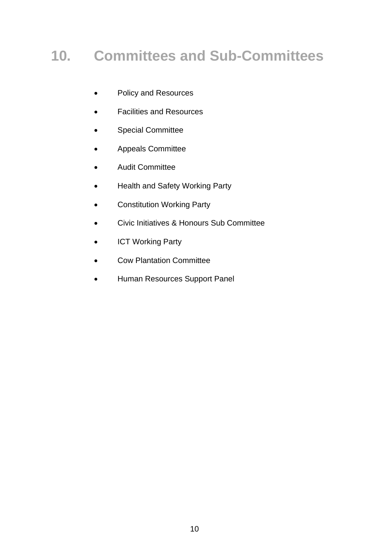# **10. Committees and Sub-Committees**

- Policy and Resources
- Facilities and Resources
- Special Committee
- Appeals Committee
- Audit Committee
- Health and Safety Working Party
- Constitution Working Party
- Civic Initiatives & Honours Sub Committee
- ICT Working Party
- Cow Plantation Committee
- Human Resources Support Panel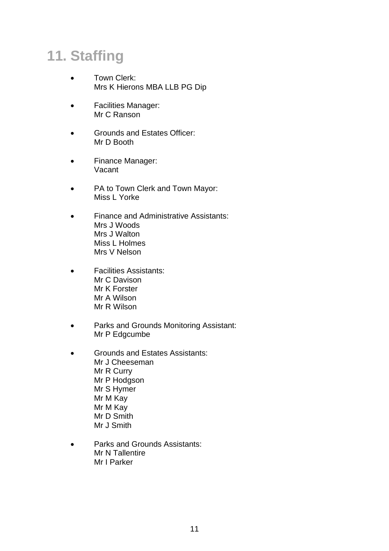# **11. Staffing**

- Town Clerk: Mrs K Hierons MBA LLB PG Dip
- Facilities Manager: Mr C Ranson
- Grounds and Estates Officer: Mr D Booth
- Finance Manager: Vacant
- PA to Town Clerk and Town Mayor: Miss L Yorke
- Finance and Administrative Assistants: Mrs J Woods Mrs J Walton Miss L Holmes Mrs V Nelson
- Facilities Assistants: Mr C Davison Mr K Forster Mr A Wilson Mr R Wilson
- Parks and Grounds Monitoring Assistant: Mr P Edgcumbe
- Grounds and Estates Assistants: Mr J Cheeseman Mr R Curry Mr P Hodgson Mr S Hymer Mr M Kay Mr M Kay Mr D Smith Mr J Smith
- Parks and Grounds Assistants: Mr N Tallentire Mr I Parker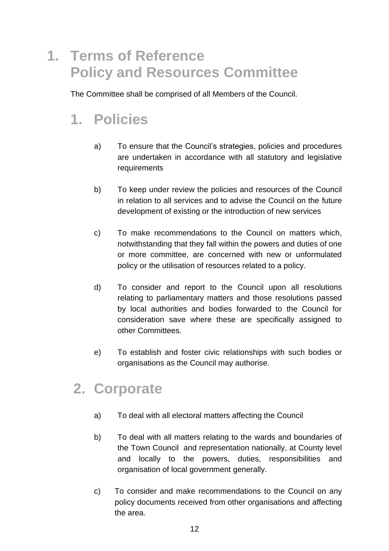## **1. Terms of Reference Policy and Resources Committee**

The Committee shall be comprised of all Members of the Council.

# **1. Policies**

- a) To ensure that the Council's strategies, policies and procedures are undertaken in accordance with all statutory and legislative requirements
- b) To keep under review the policies and resources of the Council in relation to all services and to advise the Council on the future development of existing or the introduction of new services
- c) To make recommendations to the Council on matters which, notwithstanding that they fall within the powers and duties of one or more committee, are concerned with new or unformulated policy or the utilisation of resources related to a policy.
- d) To consider and report to the Council upon all resolutions relating to parliamentary matters and those resolutions passed by local authorities and bodies forwarded to the Council for consideration save where these are specifically assigned to other Committees.
- e) To establish and foster civic relationships with such bodies or organisations as the Council may authorise.

### **2. Corporate**

- a) To deal with all electoral matters affecting the Council
- b) To deal with all matters relating to the wards and boundaries of the Town Council and representation nationally, at County level and locally to the powers, duties, responsibilities and organisation of local government generally.
- c) To consider and make recommendations to the Council on any policy documents received from other organisations and affecting the area.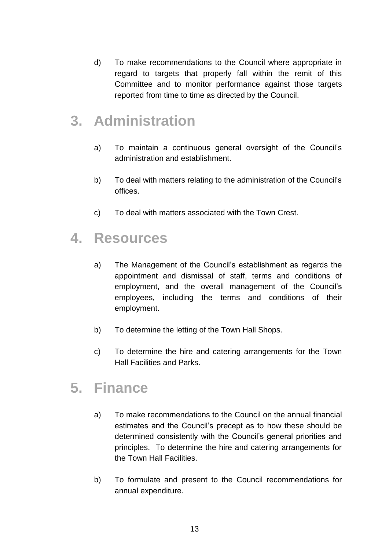d) To make recommendations to the Council where appropriate in regard to targets that properly fall within the remit of this Committee and to monitor performance against those targets reported from time to time as directed by the Council.

#### **3. Administration**

- a) To maintain a continuous general oversight of the Council's administration and establishment.
- b) To deal with matters relating to the administration of the Council's offices.
- c) To deal with matters associated with the Town Crest.

#### **4. Resources**

- a) The Management of the Council's establishment as regards the appointment and dismissal of staff, terms and conditions of employment, and the overall management of the Council's employees, including the terms and conditions of their employment.
- b) To determine the letting of the Town Hall Shops.
- c) To determine the hire and catering arrangements for the Town Hall Facilities and Parks.

### **5. Finance**

- a) To make recommendations to the Council on the annual financial estimates and the Council's precept as to how these should be determined consistently with the Council's general priorities and principles. To determine the hire and catering arrangements for the Town Hall Facilities.
- b) To formulate and present to the Council recommendations for annual expenditure.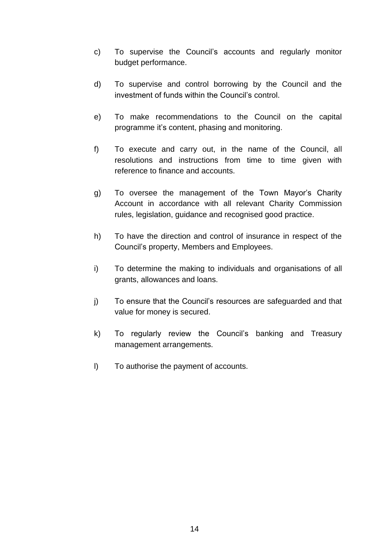- c) To supervise the Council's accounts and regularly monitor budget performance.
- d) To supervise and control borrowing by the Council and the investment of funds within the Council's control.
- e) To make recommendations to the Council on the capital programme it's content, phasing and monitoring.
- f) To execute and carry out, in the name of the Council, all resolutions and instructions from time to time given with reference to finance and accounts.
- g) To oversee the management of the Town Mayor's Charity Account in accordance with all relevant Charity Commission rules, legislation, guidance and recognised good practice.
- h) To have the direction and control of insurance in respect of the Council's property, Members and Employees.
- i) To determine the making to individuals and organisations of all grants, allowances and loans.
- j) To ensure that the Council's resources are safeguarded and that value for money is secured.
- k) To regularly review the Council's banking and Treasury management arrangements.
- l) To authorise the payment of accounts.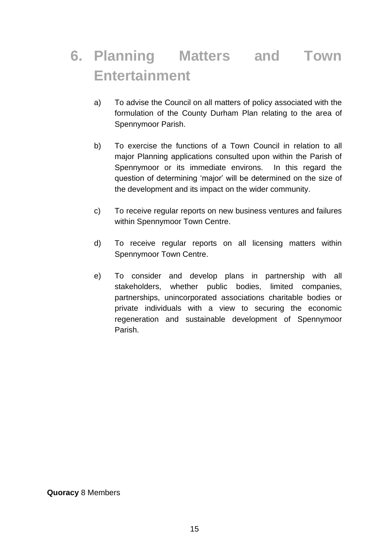# **6. Planning Matters and Town Entertainment**

- a) To advise the Council on all matters of policy associated with the formulation of the County Durham Plan relating to the area of Spennymoor Parish.
- b) To exercise the functions of a Town Council in relation to all major Planning applications consulted upon within the Parish of Spennymoor or its immediate environs. In this regard the question of determining 'major' will be determined on the size of the development and its impact on the wider community.
- c) To receive regular reports on new business ventures and failures within Spennymoor Town Centre.
- d) To receive regular reports on all licensing matters within Spennymoor Town Centre.
- e) To consider and develop plans in partnership with all stakeholders, whether public bodies, limited companies, partnerships, unincorporated associations charitable bodies or private individuals with a view to securing the economic regeneration and sustainable development of Spennymoor Parish.

**Quoracy** 8 Members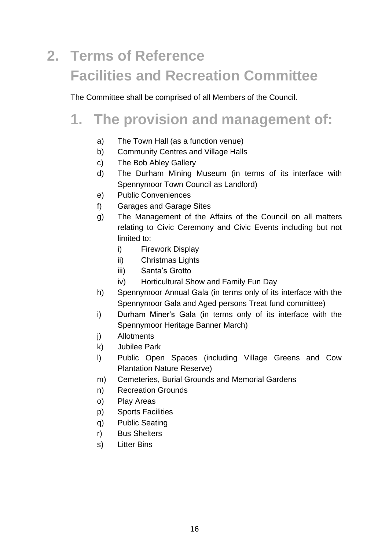# **2. Terms of Reference Facilities and Recreation Committee**

The Committee shall be comprised of all Members of the Council.

### **1. The provision and management of:**

- a) The Town Hall (as a function venue)
- b) Community Centres and Village Halls
- c) The Bob Abley Gallery
- d) The Durham Mining Museum (in terms of its interface with Spennymoor Town Council as Landlord)
- e) Public Conveniences
- f) Garages and Garage Sites
- g) The Management of the Affairs of the Council on all matters relating to Civic Ceremony and Civic Events including but not limited to:
	- i) Firework Display
	- ii) Christmas Lights
	- iii) Santa's Grotto
	- iv) Horticultural Show and Family Fun Day
- h) Spennymoor Annual Gala (in terms only of its interface with the Spennymoor Gala and Aged persons Treat fund committee)
- i) Durham Miner's Gala (in terms only of its interface with the Spennymoor Heritage Banner March)
- j) Allotments
- k) Jubilee Park
- l) Public Open Spaces (including Village Greens and Cow Plantation Nature Reserve)
- m) Cemeteries, Burial Grounds and Memorial Gardens
- n) Recreation Grounds
- o) Play Areas
- p) Sports Facilities
- q) Public Seating
- r) Bus Shelters
- s) Litter Bins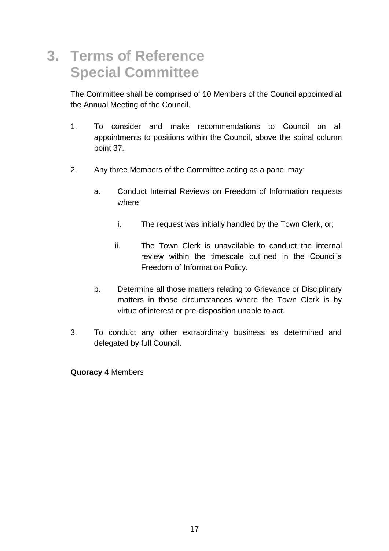### **3. Terms of Reference Special Committee**

The Committee shall be comprised of 10 Members of the Council appointed at the Annual Meeting of the Council.

- 1. To consider and make recommendations to Council on all appointments to positions within the Council, above the spinal column point 37.
- 2. Any three Members of the Committee acting as a panel may:
	- a. Conduct Internal Reviews on Freedom of Information requests where:
		- i. The request was initially handled by the Town Clerk, or;
		- ii. The Town Clerk is unavailable to conduct the internal review within the timescale outlined in the Council's Freedom of Information Policy.
	- b. Determine all those matters relating to Grievance or Disciplinary matters in those circumstances where the Town Clerk is by virtue of interest or pre-disposition unable to act.
- 3. To conduct any other extraordinary business as determined and delegated by full Council.

**Quoracy** 4 Members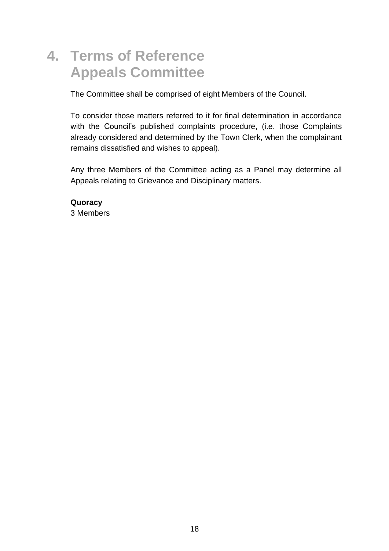## **4. Terms of Reference Appeals Committee**

The Committee shall be comprised of eight Members of the Council.

To consider those matters referred to it for final determination in accordance with the Council's published complaints procedure, (i.e. those Complaints already considered and determined by the Town Clerk, when the complainant remains dissatisfied and wishes to appeal).

Any three Members of the Committee acting as a Panel may determine all Appeals relating to Grievance and Disciplinary matters.

**Quoracy** 3 Members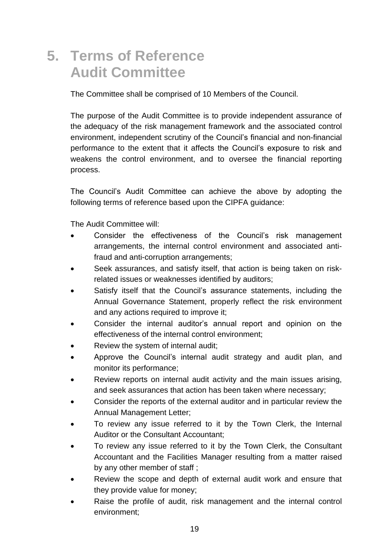#### **5. Terms of Reference Audit Committee**

The Committee shall be comprised of 10 Members of the Council.

The purpose of the Audit Committee is to provide independent assurance of the adequacy of the risk management framework and the associated control environment, independent scrutiny of the Council's financial and non-financial performance to the extent that it affects the Council's exposure to risk and weakens the control environment, and to oversee the financial reporting process.

The Council's Audit Committee can achieve the above by adopting the following terms of reference based upon the CIPFA guidance:

The Audit Committee will:

- Consider the effectiveness of the Council's risk management arrangements, the internal control environment and associated antifraud and anti-corruption arrangements;
- Seek assurances, and satisfy itself, that action is being taken on riskrelated issues or weaknesses identified by auditors;
- Satisfy itself that the Council's assurance statements, including the Annual Governance Statement, properly reflect the risk environment and any actions required to improve it;
- Consider the internal auditor's annual report and opinion on the effectiveness of the internal control environment;
- Review the system of internal audit;
- Approve the Council's internal audit strategy and audit plan, and monitor its performance;
- Review reports on internal audit activity and the main issues arising, and seek assurances that action has been taken where necessary;
- Consider the reports of the external auditor and in particular review the Annual Management Letter;
- To review any issue referred to it by the Town Clerk, the Internal Auditor or the Consultant Accountant;
- To review any issue referred to it by the Town Clerk, the Consultant Accountant and the Facilities Manager resulting from a matter raised by any other member of staff ;
- Review the scope and depth of external audit work and ensure that they provide value for money;
- Raise the profile of audit, risk management and the internal control environment;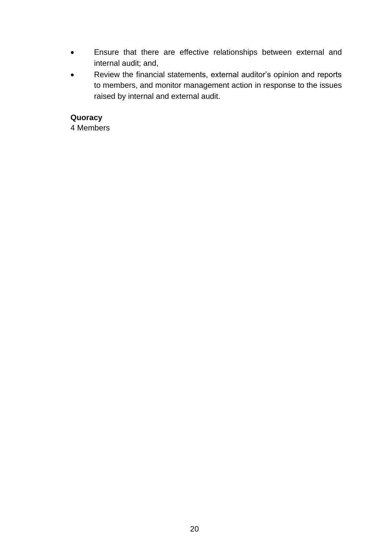- Ensure that there are effective relationships between external and internal audit; and,
- Review the financial statements, external auditor's opinion and reports to members, and monitor management action in response to the issues raised by internal and external audit.

#### **Quoracy**

4 Members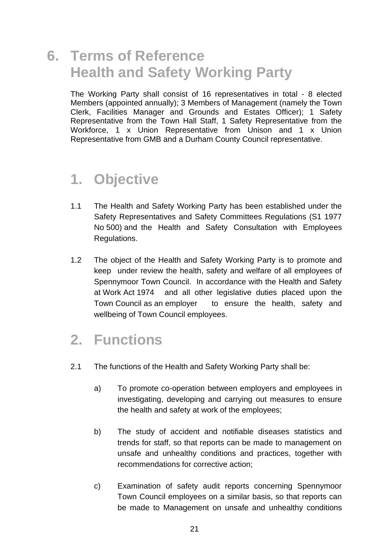#### **6. Terms of Reference Health and Safety Working Party**

The Working Party shall consist of 16 representatives in total - 8 elected Members (appointed annually); 3 Members of Management (namely the Town Clerk, Facilities Manager and Grounds and Estates Officer); 1 Safety Representative from the Town Hall Staff, 1 Safety Representative from the Workforce, 1 x Union Representative from Unison and 1 x Union Representative from GMB and a Durham County Council representative.

#### **1. Objective**

- 1.1 The Health and Safety Working Party has been established under the Safety Representatives and Safety Committees Regulations (S1 1977 No 500) and the Health and Safety Consultation with Employees Regulations.
- 1.2 The object of the Health and Safety Working Party is to promote and keep under review the health, safety and welfare of all employees of Spennymoor Town Council. In accordance with the Health and Safety at Work Act 1974 and all other legislative duties placed upon the Town Council as an employer to ensure the health, safety and wellbeing of Town Council employees.

### **2. Functions**

- 2.1 The functions of the Health and Safety Working Party shall be:
	- a) To promote co-operation between employers and employees in investigating, developing and carrying out measures to ensure the health and safety at work of the employees;
	- b) The study of accident and notifiable diseases statistics and trends for staff, so that reports can be made to management on unsafe and unhealthy conditions and practices, together with recommendations for corrective action;
	- c) Examination of safety audit reports concerning Spennymoor Town Council employees on a similar basis, so that reports can be made to Management on unsafe and unhealthy conditions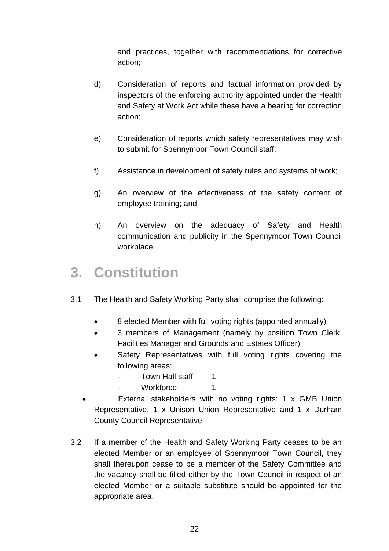and practices, together with recommendations for corrective action;

- d) Consideration of reports and factual information provided by inspectors of the enforcing authority appointed under the Health and Safety at Work Act while these have a bearing for correction action;
- e) Consideration of reports which safety representatives may wish to submit for Spennymoor Town Council staff;
- f) Assistance in development of safety rules and systems of work;
- g) An overview of the effectiveness of the safety content of employee training; and,
- h) An overview on the adequacy of Safety and Health communication and publicity in the Spennymoor Town Council workplace.

#### **3. Constitution**

- 3.1 The Health and Safety Working Party shall comprise the following:
	- 8 elected Member with full voting rights (appointed annually)
	- 3 members of Management (namely by position Town Clerk, Facilities Manager and Grounds and Estates Officer)
	- Safety Representatives with full voting rights covering the following areas:
		- Town Hall staff 1
		- Workforce 1
	- External stakeholders with no voting rights: 1 x GMB Union Representative, 1 x Unison Union Representative and 1 x Durham County Council Representative
- 3.2 If a member of the Health and Safety Working Party ceases to be an elected Member or an employee of Spennymoor Town Council, they shall thereupon cease to be a member of the Safety Committee and the vacancy shall be filled either by the Town Council in respect of an elected Member or a suitable substitute should be appointed for the appropriate area.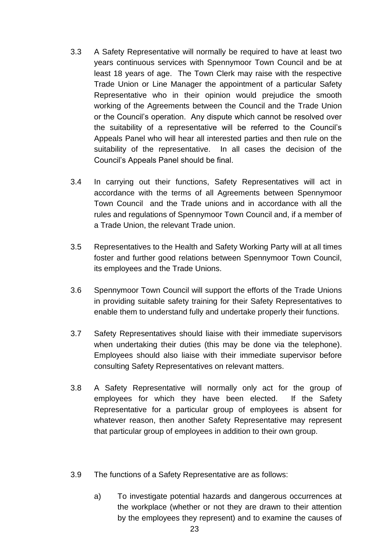- 3.3 A Safety Representative will normally be required to have at least two years continuous services with Spennymoor Town Council and be at least 18 years of age. The Town Clerk may raise with the respective Trade Union or Line Manager the appointment of a particular Safety Representative who in their opinion would prejudice the smooth working of the Agreements between the Council and the Trade Union or the Council's operation. Any dispute which cannot be resolved over the suitability of a representative will be referred to the Council's Appeals Panel who will hear all interested parties and then rule on the suitability of the representative. In all cases the decision of the Council's Appeals Panel should be final.
- 3.4 In carrying out their functions, Safety Representatives will act in accordance with the terms of all Agreements between Spennymoor Town Council and the Trade unions and in accordance with all the rules and regulations of Spennymoor Town Council and, if a member of a Trade Union, the relevant Trade union.
- 3.5 Representatives to the Health and Safety Working Party will at all times foster and further good relations between Spennymoor Town Council, its employees and the Trade Unions.
- 3.6 Spennymoor Town Council will support the efforts of the Trade Unions in providing suitable safety training for their Safety Representatives to enable them to understand fully and undertake properly their functions.
- 3.7 Safety Representatives should liaise with their immediate supervisors when undertaking their duties (this may be done via the telephone). Employees should also liaise with their immediate supervisor before consulting Safety Representatives on relevant matters.
- 3.8 A Safety Representative will normally only act for the group of employees for which they have been elected. If the Safety Representative for a particular group of employees is absent for whatever reason, then another Safety Representative may represent that particular group of employees in addition to their own group.
- 3.9 The functions of a Safety Representative are as follows:
	- a) To investigate potential hazards and dangerous occurrences at the workplace (whether or not they are drawn to their attention by the employees they represent) and to examine the causes of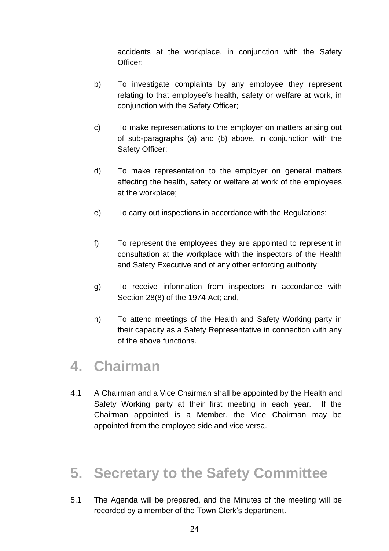accidents at the workplace, in conjunction with the Safety Officer;

- b) To investigate complaints by any employee they represent relating to that employee's health, safety or welfare at work, in conjunction with the Safety Officer;
- c) To make representations to the employer on matters arising out of sub-paragraphs (a) and (b) above, in conjunction with the Safety Officer;
- d) To make representation to the employer on general matters affecting the health, safety or welfare at work of the employees at the workplace;
- e) To carry out inspections in accordance with the Regulations;
- f) To represent the employees they are appointed to represent in consultation at the workplace with the inspectors of the Health and Safety Executive and of any other enforcing authority;
- g) To receive information from inspectors in accordance with Section 28(8) of the 1974 Act; and,
- h) To attend meetings of the Health and Safety Working party in their capacity as a Safety Representative in connection with any of the above functions.

### **4. Chairman**

4.1 A Chairman and a Vice Chairman shall be appointed by the Health and Safety Working party at their first meeting in each year. If the Chairman appointed is a Member, the Vice Chairman may be appointed from the employee side and vice versa.

## **5. Secretary to the Safety Committee**

5.1 The Agenda will be prepared, and the Minutes of the meeting will be recorded by a member of the Town Clerk's department.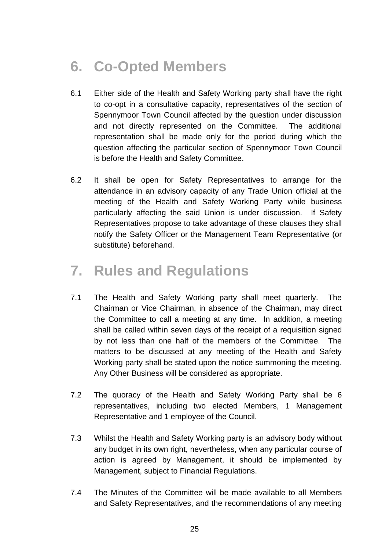# **6. Co-Opted Members**

- 6.1 Either side of the Health and Safety Working party shall have the right to co-opt in a consultative capacity, representatives of the section of Spennymoor Town Council affected by the question under discussion and not directly represented on the Committee. The additional representation shall be made only for the period during which the question affecting the particular section of Spennymoor Town Council is before the Health and Safety Committee.
- 6.2 It shall be open for Safety Representatives to arrange for the attendance in an advisory capacity of any Trade Union official at the meeting of the Health and Safety Working Party while business particularly affecting the said Union is under discussion. If Safety Representatives propose to take advantage of these clauses they shall notify the Safety Officer or the Management Team Representative (or substitute) beforehand.

### **7. Rules and Regulations**

- 7.1 The Health and Safety Working party shall meet quarterly. The Chairman or Vice Chairman, in absence of the Chairman, may direct the Committee to call a meeting at any time. In addition, a meeting shall be called within seven days of the receipt of a requisition signed by not less than one half of the members of the Committee. The matters to be discussed at any meeting of the Health and Safety Working party shall be stated upon the notice summoning the meeting. Any Other Business will be considered as appropriate.
- 7.2 The quoracy of the Health and Safety Working Party shall be 6 representatives, including two elected Members, 1 Management Representative and 1 employee of the Council.
- 7.3 Whilst the Health and Safety Working party is an advisory body without any budget in its own right, nevertheless, when any particular course of action is agreed by Management, it should be implemented by Management, subject to Financial Regulations.
- 7.4 The Minutes of the Committee will be made available to all Members and Safety Representatives, and the recommendations of any meeting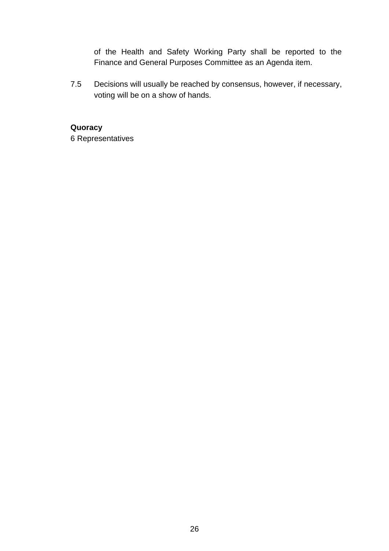of the Health and Safety Working Party shall be reported to the Finance and General Purposes Committee as an Agenda item.

7.5 Decisions will usually be reached by consensus, however, if necessary, voting will be on a show of hands.

**Quoracy** 6 Representatives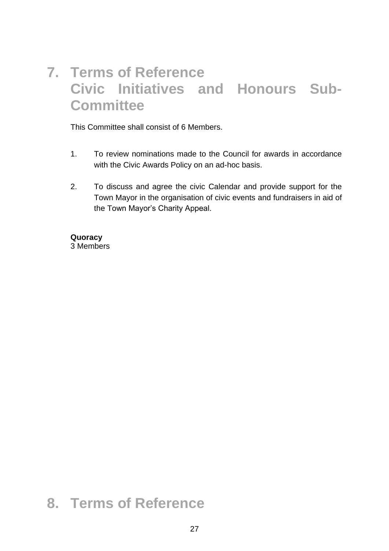## **7. Terms of Reference Civic Initiatives and Honours Sub-Committee**

This Committee shall consist of 6 Members.

- 1. To review nominations made to the Council for awards in accordance with the Civic Awards Policy on an ad-hoc basis.
- 2. To discuss and agree the civic Calendar and provide support for the Town Mayor in the organisation of civic events and fundraisers in aid of the Town Mayor's Charity Appeal.

#### **Quoracy**

3 Members

### **8. Terms of Reference**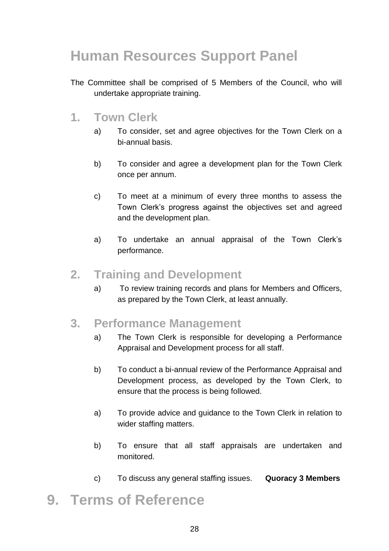# **Human Resources Support Panel**

The Committee shall be comprised of 5 Members of the Council, who will undertake appropriate training.

#### **1. Town Clerk**

- a) To consider, set and agree objectives for the Town Clerk on a bi-annual basis.
- b) To consider and agree a development plan for the Town Clerk once per annum.
- c) To meet at a minimum of every three months to assess the Town Clerk's progress against the objectives set and agreed and the development plan.
- a) To undertake an annual appraisal of the Town Clerk's performance.

#### **2. Training and Development**

a) To review training records and plans for Members and Officers, as prepared by the Town Clerk, at least annually.

#### **3. Performance Management**

- a) The Town Clerk is responsible for developing a Performance Appraisal and Development process for all staff.
- b) To conduct a bi-annual review of the Performance Appraisal and Development process, as developed by the Town Clerk, to ensure that the process is being followed.
- a) To provide advice and guidance to the Town Clerk in relation to wider staffing matters.
- b) To ensure that all staff appraisals are undertaken and monitored.
- c) To discuss any general staffing issues. **Quoracy 3 Members**

## **9. Terms of Reference**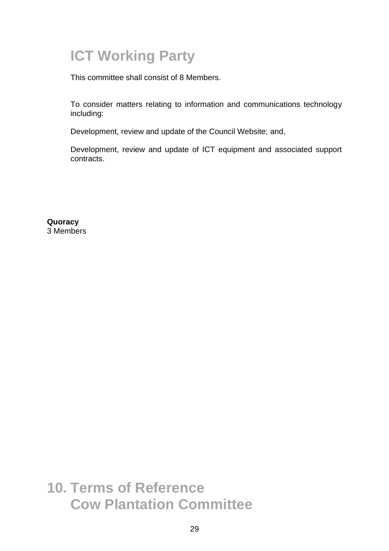# **ICT Working Party**

This committee shall consist of 8 Members.

To consider matters relating to information and communications technology including:

Development, review and update of the Council Website; and,

Development, review and update of ICT equipment and associated support contracts.

**Quoracy** 3 Members

**10. Terms of Reference Cow Plantation Committee**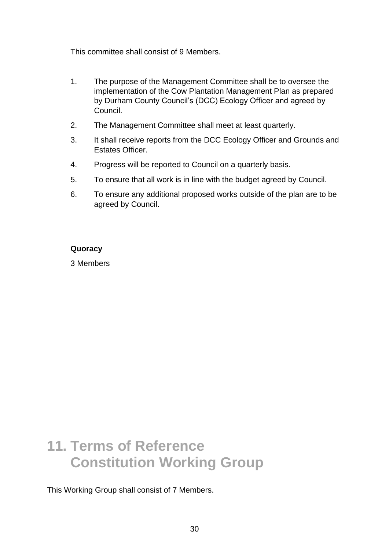This committee shall consist of 9 Members.

- 1. The purpose of the Management Committee shall be to oversee the implementation of the Cow Plantation Management Plan as prepared by Durham County Council's (DCC) Ecology Officer and agreed by Council.
- 2. The Management Committee shall meet at least quarterly.
- 3. It shall receive reports from the DCC Ecology Officer and Grounds and Estates Officer.
- 4. Progress will be reported to Council on a quarterly basis.
- 5. To ensure that all work is in line with the budget agreed by Council.
- 6. To ensure any additional proposed works outside of the plan are to be agreed by Council.

#### **Quoracy**

3 Members

## **11. Terms of Reference Constitution Working Group**

This Working Group shall consist of 7 Members.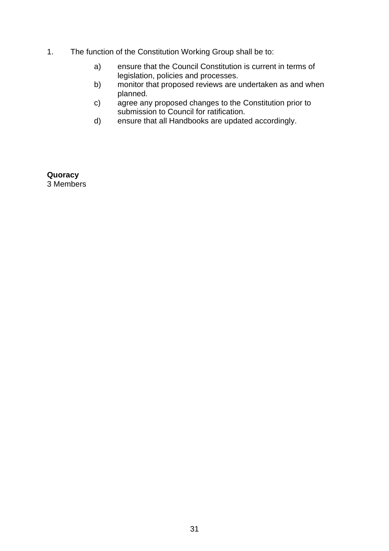- 1. The function of the Constitution Working Group shall be to:
	- a) ensure that the Council Constitution is current in terms of legislation, policies and processes.
	- b) monitor that proposed reviews are undertaken as and when planned.
	- c) agree any proposed changes to the Constitution prior to submission to Council for ratification.
	- d) ensure that all Handbooks are updated accordingly.

**Quoracy** 3 Members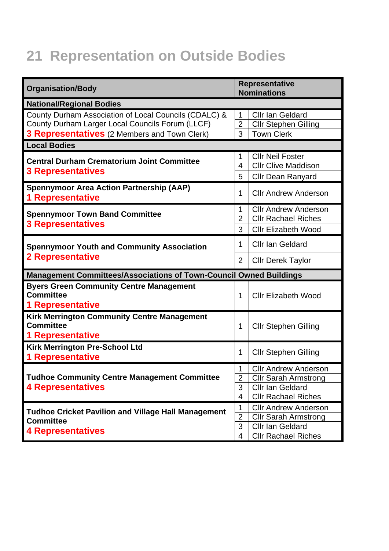# **21 Representation on Outside Bodies**

| <b>Organisation/Body</b>                                                                                                                                  |                                                       | <b>Representative</b><br><b>Nominations</b>                                                                         |  |
|-----------------------------------------------------------------------------------------------------------------------------------------------------------|-------------------------------------------------------|---------------------------------------------------------------------------------------------------------------------|--|
| <b>National/Regional Bodies</b>                                                                                                                           |                                                       |                                                                                                                     |  |
| County Durham Association of Local Councils (CDALC) &<br>County Durham Larger Local Councils Forum (LLCF)<br>3 Representatives (2 Members and Town Clerk) | 1<br>$\overline{2}$<br>3                              | <b>Cllr Ian Geldard</b><br><b>Cllr Stephen Gilling</b><br><b>Town Clerk</b>                                         |  |
| <b>Local Bodies</b>                                                                                                                                       |                                                       |                                                                                                                     |  |
| <b>Central Durham Crematorium Joint Committee</b><br><b>3 Representatives</b>                                                                             | 1<br>$\overline{4}$<br>5                              | <b>Cllr Neil Foster</b><br><b>Cllr Clive Maddison</b><br><b>Cllr Dean Ranyard</b>                                   |  |
| <b>Spennymoor Area Action Partnership (AAP)</b><br><b>1 Representative</b>                                                                                | 1                                                     | <b>Cllr Andrew Anderson</b>                                                                                         |  |
| <b>Spennymoor Town Band Committee</b><br><b>3 Representatives</b>                                                                                         | 1<br>$\overline{2}$<br>3                              | <b>Cllr Andrew Anderson</b><br><b>Cllr Rachael Riches</b><br><b>Cllr Elizabeth Wood</b>                             |  |
| <b>Spennymoor Youth and Community Association</b><br><b>2 Representative</b>                                                                              |                                                       | <b>Cllr Ian Geldard</b><br><b>Cllr Derek Taylor</b>                                                                 |  |
| <b>Management Committees/Associations of Town-Council Owned Buildings</b>                                                                                 |                                                       |                                                                                                                     |  |
| <b>Byers Green Community Centre Management</b><br><b>Committee</b><br><b>1 Representative</b>                                                             | 1                                                     | <b>Cllr Elizabeth Wood</b>                                                                                          |  |
| <b>Kirk Merrington Community Centre Management</b><br><b>Committee</b><br><b>1 Representative</b>                                                         | 1                                                     | <b>Cllr Stephen Gilling</b>                                                                                         |  |
| Kirk Merrington Pre-School Ltd<br><b>1 Representative</b>                                                                                                 | 1                                                     | <b>Cllr Stephen Gilling</b>                                                                                         |  |
| <b>Tudhoe Community Centre Management Committee</b><br><b>4 Representatives</b>                                                                           | $\mathbf{1}$<br>$\overline{2}$<br>3<br>$\overline{4}$ | <b>Cllr Andrew Anderson</b><br><b>Cllr Sarah Armstrong</b><br><b>Cllr Ian Geldard</b><br><b>Cllr Rachael Riches</b> |  |
| <b>Tudhoe Cricket Pavilion and Village Hall Management</b><br><b>Committee</b><br><b>4 Representatives</b>                                                | 1<br>$\overline{2}$<br>3<br>$\overline{4}$            | <b>Cllr Andrew Anderson</b><br><b>Cllr Sarah Armstrong</b><br><b>Cllr Ian Geldard</b><br><b>Cllr Rachael Riches</b> |  |